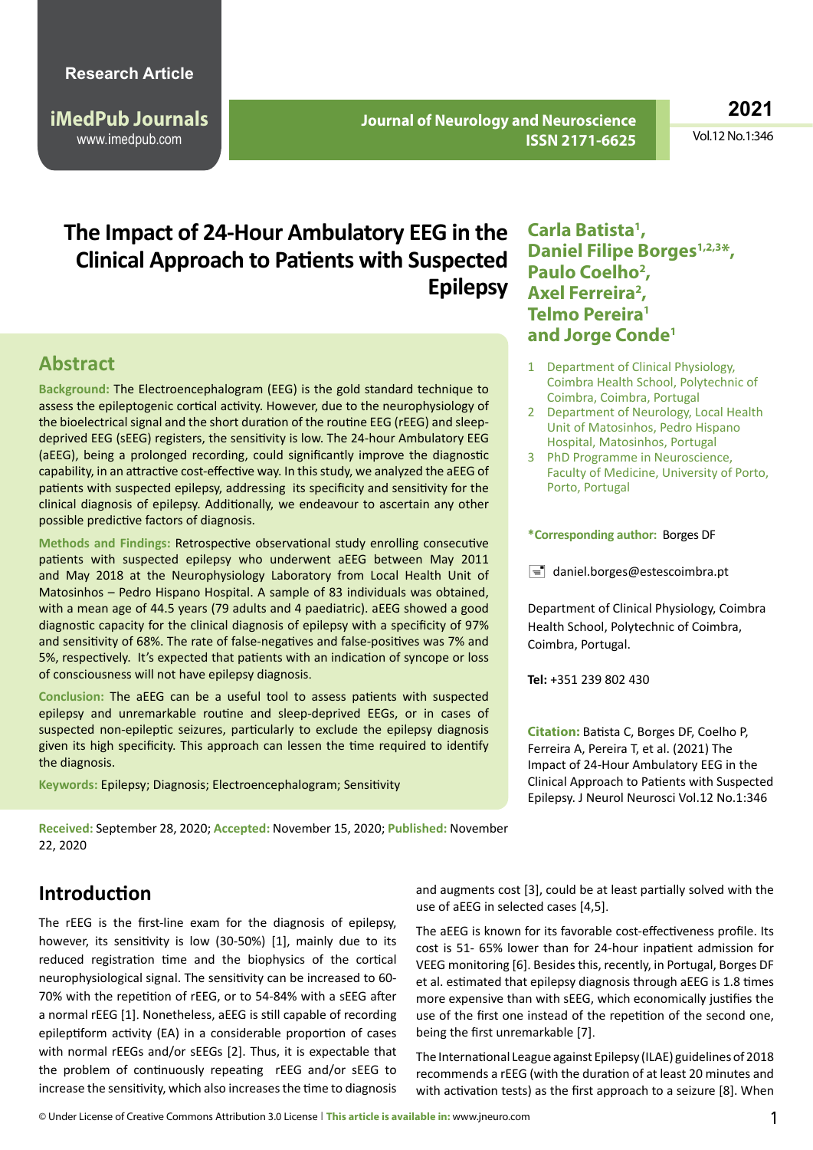**iMedPub Journals** www.imedpub.com

 **Journal of Neurology and Neuroscience ISSN 2171-6625** **2021**

Vol.12 No.1:346

# **The Impact of 24-Hour Ambulatory EEG in the Clinical Approach to Patients with Suspected Epilepsy**

### **Abstract**

**Background:** The Electroencephalogram (EEG) is the gold standard technique to assess the epileptogenic cortical activity. However, due to the neurophysiology of the bioelectrical signal and the short duration of the routine EEG (rEEG) and sleepdeprived EEG (sEEG) registers, the sensitivity is low. The 24-hour Ambulatory EEG (aEEG), being a prolonged recording, could significantly improve the diagnostic capability, in an attractive cost-effective way. In this study, we analyzed the aEEG of patients with suspected epilepsy, addressing its specificity and sensitivity for the clinical diagnosis of epilepsy. Additionally, we endeavour to ascertain any other possible predictive factors of diagnosis.

**Methods and Findings:** Retrospective observational study enrolling consecutive patients with suspected epilepsy who underwent aEEG between May 2011 and May 2018 at the Neurophysiology Laboratory from Local Health Unit of Matosinhos – Pedro Hispano Hospital. A sample of 83 individuals was obtained, with a mean age of 44.5 years (79 adults and 4 paediatric). aEEG showed a good diagnostic capacity for the clinical diagnosis of epilepsy with a specificity of 97% and sensitivity of 68%. The rate of false-negatives and false-positives was 7% and 5%, respectively. It's expected that patients with an indication of syncope or loss of consciousness will not have epilepsy diagnosis.

**Conclusion:** The aEEG can be a useful tool to assess patients with suspected epilepsy and unremarkable routine and sleep-deprived EEGs, or in cases of suspected non-epileptic seizures, particularly to exclude the epilepsy diagnosis given its high specificity. This approach can lessen the time required to identify the diagnosis.

**Keywords:** Epilepsy; Diagnosis; Electroencephalogram; Sensitivity

**Received:** September 28, 2020; **Accepted:** November 15, 2020; **Published:** November 22, 2020

### **Carla Batista1 , Daniel Filipe Borges**<sup>1,2,3\*</sup>, Paulo Coelho<sup>2</sup>, Axel Ferreira<sup>2</sup>, **Telmo Pereira1 and Jorge Conde1**

- 1 Department of Clinical Physiology, Coimbra Health School, Polytechnic of Coimbra, Coimbra, Portugal
- 2 Department of Neurology, Local Health Unit of Matosinhos, Pedro Hispano Hospital, Matosinhos, Portugal
- 3 PhD Programme in Neuroscience, Faculty of Medicine, University of Porto, Porto, Portugal

#### **\*Corresponding author:** Borges DF

 $\equiv$  [daniel.borges@estescoimbra.pt](mailto:daniel.borges@estescoimbra.pt)

Department of Clinical Physiology, Coimbra Health School, Polytechnic of Coimbra, Coimbra, Portugal.

**Tel:** +351 239 802 430

**Citation:** Batista C, Borges DF, Coelho P, Ferreira A, Pereira T, et al. (2021) The Impact of 24-Hour Ambulatory EEG in the Clinical Approach to Patients with Suspected Epilepsy. J Neurol Neurosci Vol.12 No.1:346

### **Introduction**

The rEEG is the first-line exam for the diagnosis of epilepsy, however, its sensitivity is low (30-50%) [1], mainly due to its reduced registration time and the biophysics of the cortical neurophysiological signal. The sensitivity can be increased to 60- 70% with the repetition of rEEG, or to 54-84% with a sEEG after a normal rEEG [1]. Nonetheless, aEEG is still capable of recording epileptiform activity (EA) in a considerable proportion of cases with normal rEEGs and/or sEEGs [2]. Thus, it is expectable that the problem of continuously repeating rEEG and/or sEEG to increase the sensitivity, which also increases the time to diagnosis

and augments cost [3], could be at least partially solved with the use of aEEG in selected cases [4,5].

The aEEG is known for its favorable cost-effectiveness profile. Its cost is 51- 65% lower than for 24-hour inpatient admission for VEEG monitoring [6]. Besides this, recently, in Portugal, Borges DF et al. estimated that epilepsy diagnosis through aEEG is 1.8 times more expensive than with sEEG, which economically justifies the use of the first one instead of the repetition of the second one, being the first unremarkable [7].

The International League against Epilepsy (ILAE) guidelines of 2018 recommends a rEEG (with the duration of at least 20 minutes and with activation tests) as the first approach to a seizure [8]. When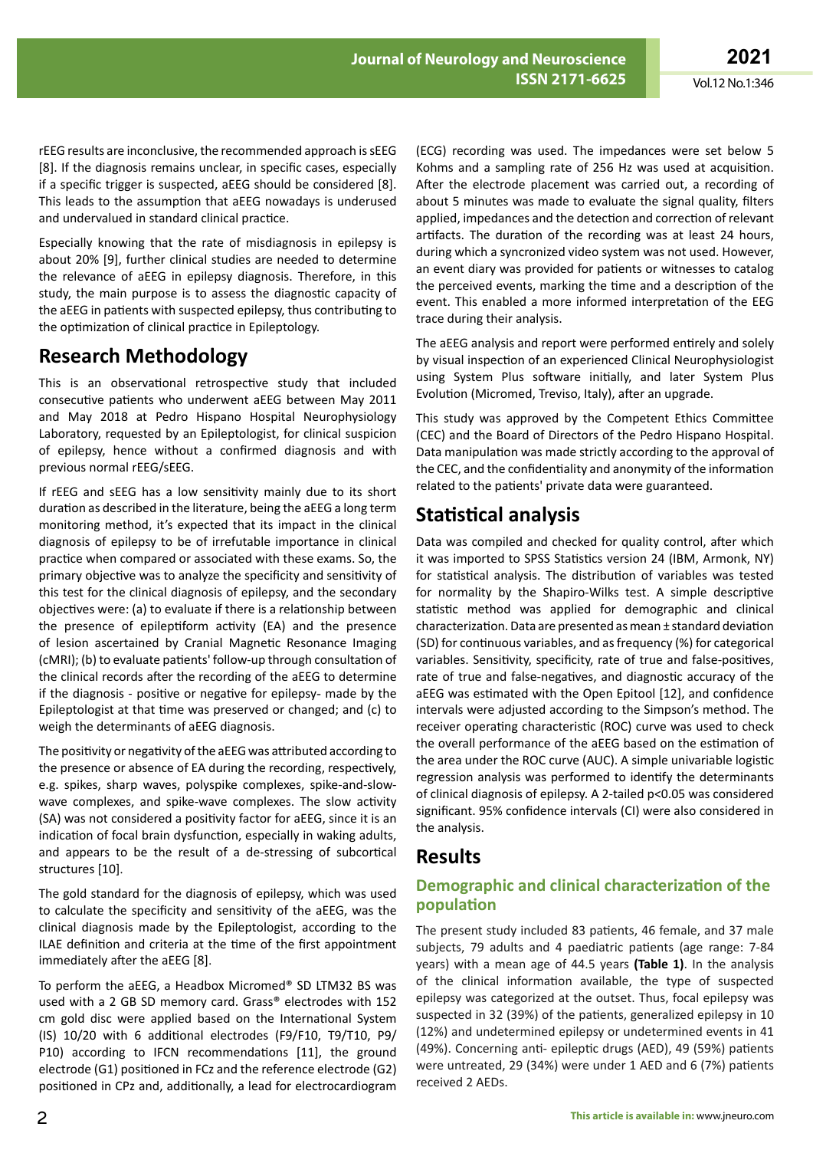rEEG results are inconclusive, the recommended approach is sEEG [8]. If the diagnosis remains unclear, in specific cases, especially if a specific trigger is suspected, aEEG should be considered [8]. This leads to the assumption that aEEG nowadays is underused and undervalued in standard clinical practice.

Especially knowing that the rate of misdiagnosis in epilepsy is about 20% [9], further clinical studies are needed to determine the relevance of aEEG in epilepsy diagnosis. Therefore, in this study, the main purpose is to assess the diagnostic capacity of the aEEG in patients with suspected epilepsy, thus contributing to the optimization of clinical practice in Epileptology.

# **Research Methodology**

This is an observational retrospective study that included consecutive patients who underwent aEEG between May 2011 and May 2018 at Pedro Hispano Hospital Neurophysiology Laboratory, requested by an Epileptologist, for clinical suspicion of epilepsy, hence without a confirmed diagnosis and with previous normal rEEG/sEEG.

If rEEG and sEEG has a low sensitivity mainly due to its short duration as described in the literature, being the aEEG a long term monitoring method, it's expected that its impact in the clinical diagnosis of epilepsy to be of irrefutable importance in clinical practice when compared or associated with these exams. So, the primary objective was to analyze the specificity and sensitivity of this test for the clinical diagnosis of epilepsy, and the secondary objectives were: (a) to evaluate if there is a relationship between the presence of epileptiform activity (EA) and the presence of lesion ascertained by Cranial Magnetic Resonance Imaging (cMRI); (b) to evaluate patients' follow-up through consultation of the clinical records after the recording of the aEEG to determine if the diagnosis - positive or negative for epilepsy- made by the Epileptologist at that time was preserved or changed; and (c) to weigh the determinants of aEEG diagnosis.

The positivity or negativity of the aEEG was attributed according to the presence or absence of EA during the recording, respectively, e.g. spikes, sharp waves, polyspike complexes, spike-and-slowwave complexes, and spike-wave complexes. The slow activity (SA) was not considered a positivity factor for aEEG, since it is an indication of focal brain dysfunction, especially in waking adults, and appears to be the result of a de-stressing of subcortical structures [10].

The gold standard for the diagnosis of epilepsy, which was used to calculate the specificity and sensitivity of the aEEG, was the clinical diagnosis made by the Epileptologist, according to the ILAE definition and criteria at the time of the first appointment immediately after the aEEG [8].

To perform the aEEG, a Headbox Micromed® SD LTM32 BS was used with a 2 GB SD memory card. Grass® electrodes with 152 cm gold disc were applied based on the International System (IS) 10/20 with 6 additional electrodes (F9/F10, T9/T10, P9/ P10) according to IFCN recommendations [11], the ground electrode (G1) positioned in FCz and the reference electrode (G2) positioned in CPz and, additionally, a lead for electrocardiogram

(ECG) recording was used. The impedances were set below 5 Kohms and a sampling rate of 256 Hz was used at acquisition. After the electrode placement was carried out, a recording of about 5 minutes was made to evaluate the signal quality, filters applied, impedances and the detection and correction of relevant artifacts. The duration of the recording was at least 24 hours, during which a syncronized video system was not used. However, an event diary was provided for patients or witnesses to catalog the perceived events, marking the time and a description of the event. This enabled a more informed interpretation of the EEG trace during their analysis.

The aEEG analysis and report were performed entirely and solely by visual inspection of an experienced Clinical Neurophysiologist using System Plus software initially, and later System Plus Evolution (Micromed, Treviso, Italy), after an upgrade.

This study was approved by the Competent Ethics Committee (CEC) and the Board of Directors of the Pedro Hispano Hospital. Data manipulation was made strictly according to the approval of the CEC, and the confidentiality and anonymity of the information related to the patients' private data were guaranteed.

# **Statistical analysis**

Data was compiled and checked for quality control, after which it was imported to SPSS Statistics version 24 (IBM, Armonk, NY) for statistical analysis. The distribution of variables was tested for normality by the Shapiro-Wilks test. A simple descriptive statistic method was applied for demographic and clinical characterization. Data are presented as mean ± standard deviation (SD) for continuous variables, and as frequency (%) for categorical variables. Sensitivity, specificity, rate of true and false-positives, rate of true and false-negatives, and diagnostic accuracy of the aEEG was estimated with the Open Epitool [12], and confidence intervals were adjusted according to the Simpson's method. The receiver operating characteristic (ROC) curve was used to check the overall performance of the aEEG based on the estimation of the area under the ROC curve (AUC). A simple univariable logistic regression analysis was performed to identify the determinants of clinical diagnosis of epilepsy. A 2-tailed p<0.05 was considered significant. 95% confidence intervals (CI) were also considered in the analysis.

## **Results**

### **Demographic and clinical characterization of the population**

The present study included 83 patients, 46 female, and 37 male subjects, 79 adults and 4 paediatric patients (age range: 7-84 years) with a mean age of 44.5 years **(Table 1)**. In the analysis of the clinical information available, the type of suspected epilepsy was categorized at the outset. Thus, focal epilepsy was suspected in 32 (39%) of the patients, generalized epilepsy in 10 (12%) and undetermined epilepsy or undetermined events in 41 (49%). Concerning anti- epileptic drugs (AED), 49 (59%) patients were untreated, 29 (34%) were under 1 AED and 6 (7%) patients received 2 AEDs.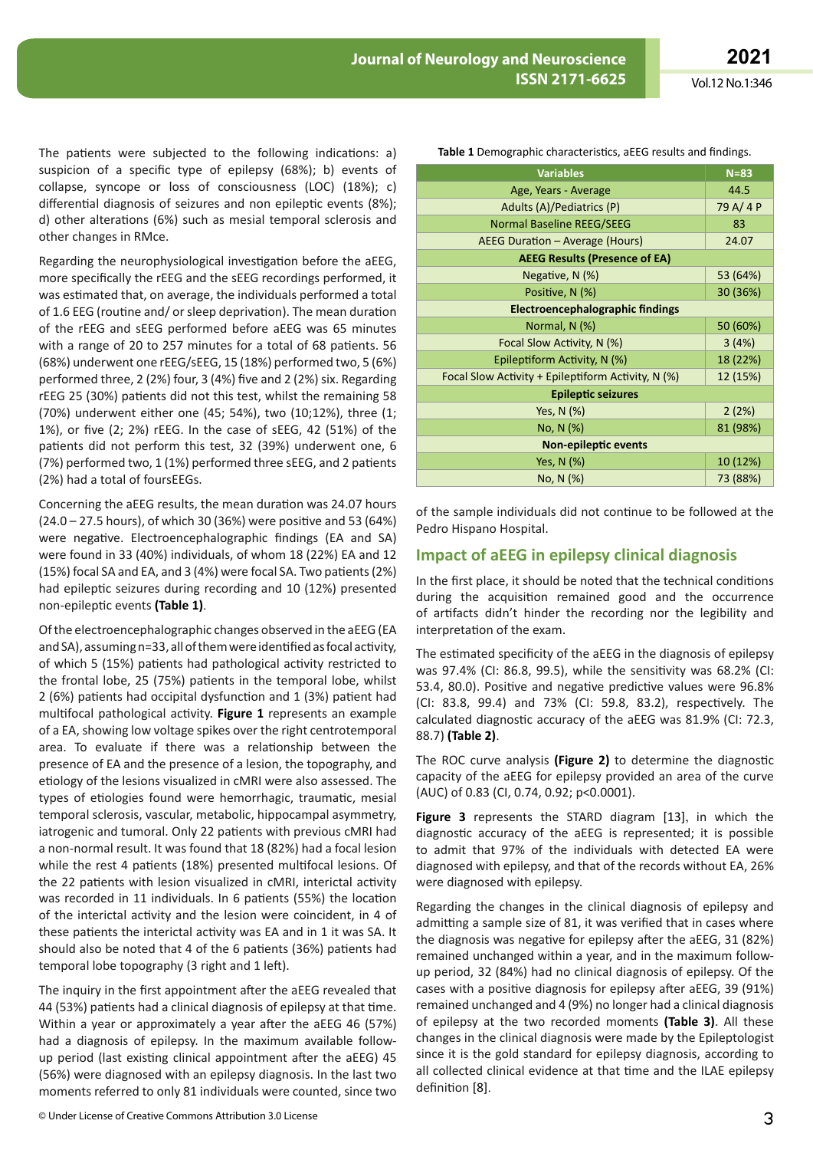The patients were subjected to the following indications: a) suspicion of a specific type of epilepsy (68%); b) events of collapse, syncope or loss of consciousness (LOC) (18%); c) differential diagnosis of seizures and non epileptic events (8%); d) other alterations (6%) such as mesial temporal sclerosis and other changes in RMce.

Regarding the neurophysiological investigation before the aEEG, more specifically the rEEG and the sEEG recordings performed, it was estimated that, on average, the individuals performed a total of 1.6 EEG (routine and/ or sleep deprivation). The mean duration of the rEEG and sEEG performed before aEEG was 65 minutes with a range of 20 to 257 minutes for a total of 68 patients. 56 (68%) underwent one rEEG/sEEG, 15 (18%) performed two, 5 (6%) performed three, 2 (2%) four, 3 (4%) five and 2 (2%) six. Regarding rEEG 25 (30%) patients did not this test, whilst the remaining 58 (70%) underwent either one (45; 54%), two (10;12%), three (1; 1%), or five (2; 2%) rEEG. In the case of sEEG, 42 (51%) of the patients did not perform this test, 32 (39%) underwent one, 6 (7%) performed two, 1 (1%) performed three sEEG, and 2 patients (2%) had a total of foursEEGs.

Concerning the aEEG results, the mean duration was 24.07 hours (24.0 – 27.5 hours), of which 30 (36%) were positive and 53 (64%) were negative. Electroencephalographic findings (EA and SA) were found in 33 (40%) individuals, of whom 18 (22%) EA and 12 (15%) focal SA and EA, and 3 (4%) were focal SA. Two patients (2%) had epileptic seizures during recording and 10 (12%) presented non-epileptic events **(Table 1)**.

Of the electroencephalographic changes observed in the aEEG (EA and SA), assuming n=33, all of them were identified as focal activity, of which 5 (15%) patients had pathological activity restricted to the frontal lobe, 25 (75%) patients in the temporal lobe, whilst 2 (6%) patients had occipital dysfunction and 1 (3%) patient had multifocal pathological activity. **Figure 1** represents an example of a EA, showing low voltage spikes over the right centrotemporal area. To evaluate if there was a relationship between the presence of EA and the presence of a lesion, the topography, and etiology of the lesions visualized in cMRI were also assessed. The types of etiologies found were hemorrhagic, traumatic, mesial temporal sclerosis, vascular, metabolic, hippocampal asymmetry, iatrogenic and tumoral. Only 22 patients with previous cMRI had a non-normal result. It was found that 18 (82%) had a focal lesion while the rest 4 patients (18%) presented multifocal lesions. Of the 22 patients with lesion visualized in cMRI, interictal activity was recorded in 11 individuals. In 6 patients (55%) the location of the interictal activity and the lesion were coincident, in 4 of these patients the interictal activity was EA and in 1 it was SA. It should also be noted that 4 of the 6 patients (36%) patients had temporal lobe topography (3 right and 1 left).

The inquiry in the first appointment after the aEEG revealed that 44 (53%) patients had a clinical diagnosis of epilepsy at that time. Within a year or approximately a year after the aEEG 46 (57%) had a diagnosis of epilepsy. In the maximum available followup period (last existing clinical appointment after the aEEG) 45 (56%) were diagnosed with an epilepsy diagnosis. In the last two moments referred to only 81 individuals were counted, since two

| <b>Variables</b>                                     | $N = 83$ |  |  |
|------------------------------------------------------|----------|--|--|
| Age, Years - Average                                 | 44.5     |  |  |
| Adults (A)/Pediatrics (P)                            | 79 A/4 P |  |  |
| <b>Normal Baseline REEG/SEEG</b>                     | 83       |  |  |
| AEEG Duration - Average (Hours)                      | 24.07    |  |  |
| <b>AEEG Results (Presence of EA)</b>                 |          |  |  |
| Negative, N (%)                                      | 53 (64%) |  |  |
| Positive, N (%)                                      | 30 (36%) |  |  |
| Electroencephalographic findings                     |          |  |  |
| Normal, $N$ (%)                                      | 50 (60%) |  |  |
| Focal Slow Activity, N (%)                           | 3(4%)    |  |  |
| Epileptiform Activity, N (%)                         | 18 (22%) |  |  |
| Focal Slow Activity + Epileptiform Activity, $N$ (%) | 12 (15%) |  |  |
| <b>Epileptic seizures</b>                            |          |  |  |
| Yes, N (%)                                           | 2(2%)    |  |  |
| No, N (%)                                            | 81 (98%) |  |  |
| Non-epileptic events                                 |          |  |  |
| Yes, N (%)                                           | 10 (12%) |  |  |
| No, N (%)                                            | 73 (88%) |  |  |

**Table 1** Demographic characteristics, aEEG results and findings.

of the sample individuals did not continue to be followed at the Pedro Hispano Hospital.

### **Impact of aEEG in epilepsy clinical diagnosis**

In the first place, it should be noted that the technical conditions during the acquisition remained good and the occurrence of artifacts didn't hinder the recording nor the legibility and interpretation of the exam.

The estimated specificity of the aEEG in the diagnosis of epilepsy was 97.4% (CI: 86.8, 99.5), while the sensitivity was 68.2% (CI: 53.4, 80.0). Positive and negative predictive values were 96.8% (CI: 83.8, 99.4) and 73% (CI: 59.8, 83.2), respectively. The calculated diagnostic accuracy of the aEEG was 81.9% (CI: 72.3, 88.7) **(Table 2)**.

The ROC curve analysis **(Figure 2)** to determine the diagnostic capacity of the aEEG for epilepsy provided an area of the curve (AUC) of 0.83 (CI, 0.74, 0.92; p<0.0001).

**Figure 3** represents the STARD diagram [13], in which the diagnostic accuracy of the aEEG is represented; it is possible to admit that 97% of the individuals with detected EA were diagnosed with epilepsy, and that of the records without EA, 26% were diagnosed with epilepsy.

Regarding the changes in the clinical diagnosis of epilepsy and admitting a sample size of 81, it was verified that in cases where the diagnosis was negative for epilepsy after the aEEG, 31 (82%) remained unchanged within a year, and in the maximum followup period, 32 (84%) had no clinical diagnosis of epilepsy. Of the cases with a positive diagnosis for epilepsy after aEEG, 39 (91%) remained unchanged and 4 (9%) no longer had a clinical diagnosis of epilepsy at the two recorded moments **(Table 3)**. All these changes in the clinical diagnosis were made by the Epileptologist since it is the gold standard for epilepsy diagnosis, according to all collected clinical evidence at that time and the ILAE epilepsy definition [8].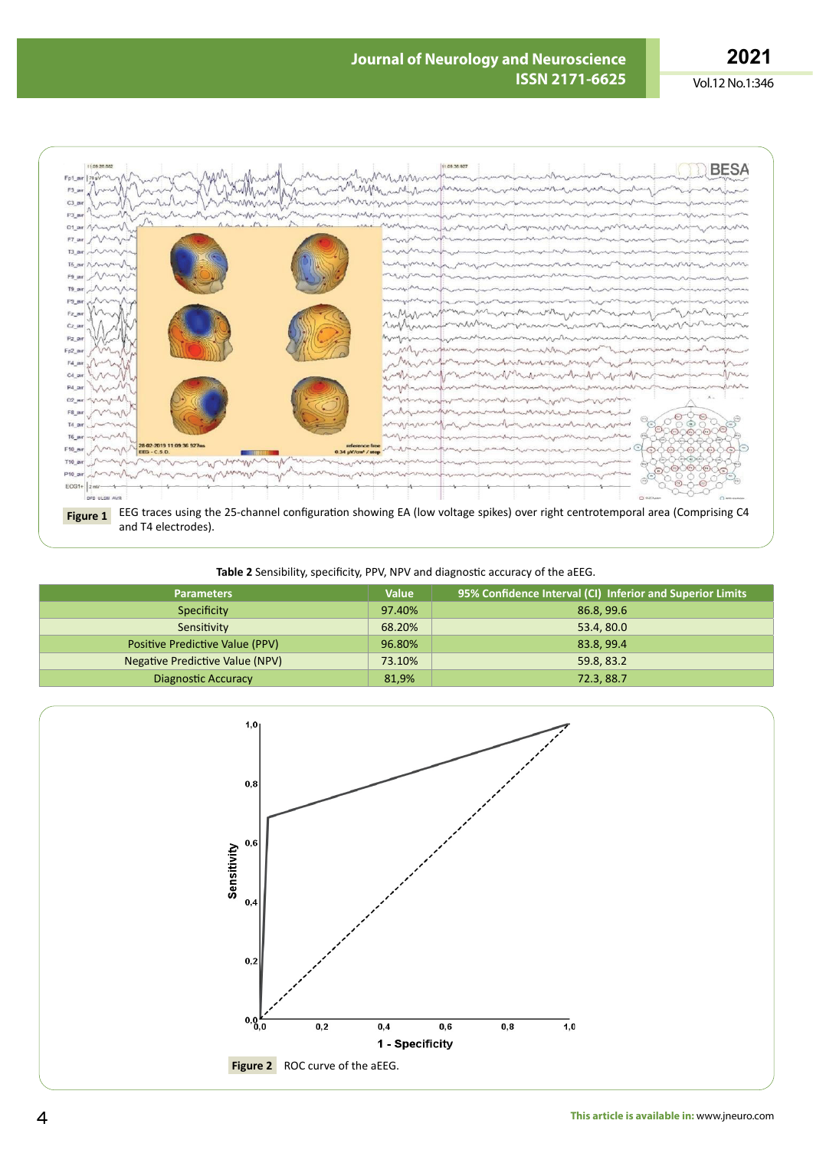Vol.12 No.1:346



**Table 2** Sensibility, specificity, PPV, NPV and diagnostic accuracy of the aEEG.

| <b>Parameters</b>               | <b>Value</b> | 95% Confidence Interval (CI) Inferior and Superior Limits |
|---------------------------------|--------------|-----------------------------------------------------------|
| Specificity                     | 97.40%       | 86.8, 99.6                                                |
| Sensitivity                     | 68.20%       | 53.4, 80.0                                                |
| Positive Predictive Value (PPV) | 96.80%       | 83.8, 99.4                                                |
| Negative Predictive Value (NPV) | 73.10%       | 59.8, 83.2                                                |
| <b>Diagnostic Accuracy</b>      | 81,9%        | 72.3, 88.7                                                |

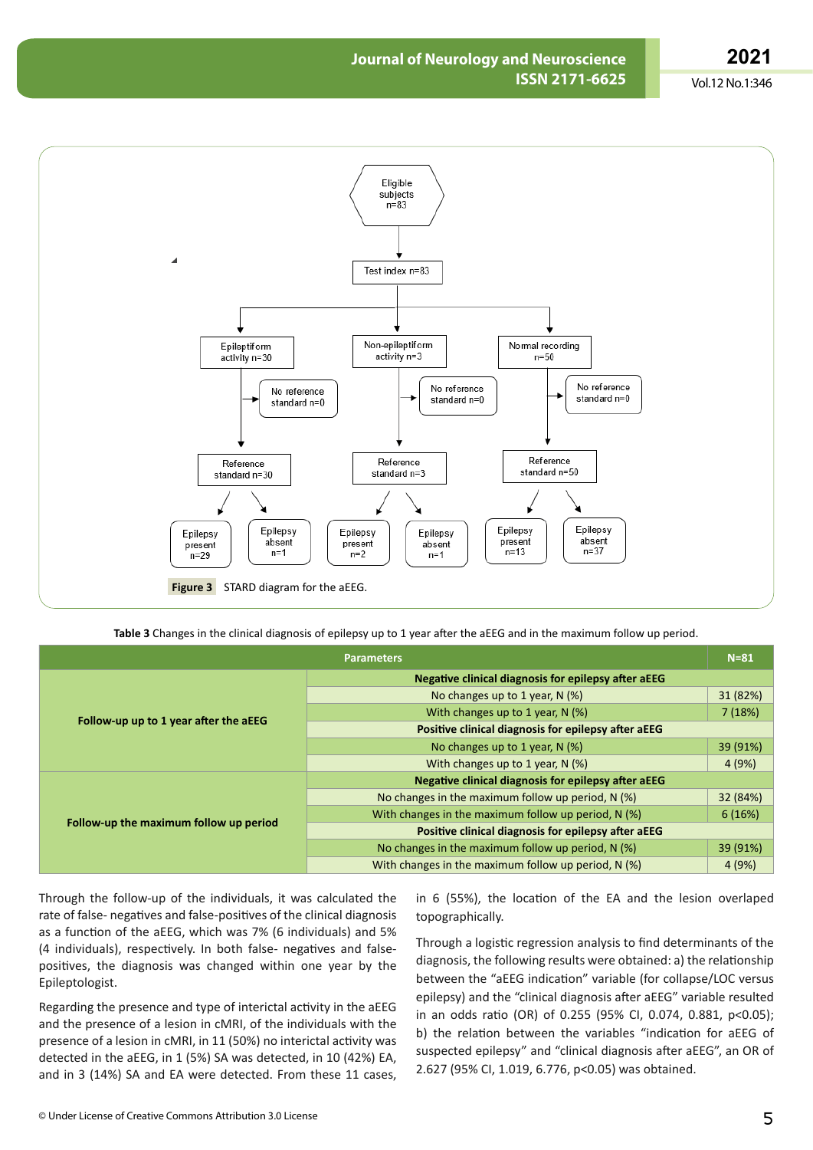### **2021**

Vol.12 No.1:346



**Table 3** Changes in the clinical diagnosis of epilepsy up to 1 year after the aEEG and in the maximum follow up period.

|                                        | <b>Parameters</b>                                          | $N = 81$ |  |
|----------------------------------------|------------------------------------------------------------|----------|--|
|                                        | Negative clinical diagnosis for epilepsy after aEEG        |          |  |
| Follow-up up to 1 year after the aEEG  | No changes up to 1 year, N (%)                             | 31 (82%) |  |
|                                        | With changes up to 1 year, $N$ (%)                         | 7(18%)   |  |
|                                        | Positive clinical diagnosis for epilepsy after aEEG        |          |  |
|                                        | No changes up to 1 year, N (%)                             | 39 (91%) |  |
|                                        | With changes up to 1 year, N (%)                           | 4(9%)    |  |
| Follow-up the maximum follow up period | <b>Negative clinical diagnosis for epilepsy after aEEG</b> |          |  |
|                                        | No changes in the maximum follow up period, $N$ (%)        | 32 (84%) |  |
|                                        | With changes in the maximum follow up period, $N$ (%)      | 6(16%)   |  |
|                                        | Positive clinical diagnosis for epilepsy after aEEG        |          |  |
|                                        | No changes in the maximum follow up period, $N$ (%)        | 39 (91%) |  |
|                                        | With changes in the maximum follow up period, $N$ (%)      | 4 (9%)   |  |

Through the follow-up of the individuals, it was calculated the rate of false- negatives and false-positives of the clinical diagnosis as a function of the aEEG, which was 7% (6 individuals) and 5% (4 individuals), respectively. In both false- negatives and falsepositives, the diagnosis was changed within one year by the Epileptologist.

Regarding the presence and type of interictal activity in the aEEG and the presence of a lesion in cMRI, of the individuals with the presence of a lesion in cMRI, in 11 (50%) no interictal activity was detected in the aEEG, in 1 (5%) SA was detected, in 10 (42%) EA, and in 3 (14%) SA and EA were detected. From these 11 cases, in 6 (55%), the location of the EA and the lesion overlaped topographically.

Through a logistic regression analysis to find determinants of the diagnosis, the following results were obtained: a) the relationship between the "aEEG indication" variable (for collapse/LOC versus epilepsy) and the "clinical diagnosis after aEEG" variable resulted in an odds ratio (OR) of 0.255 (95% CI, 0.074, 0.881, p<0.05); b) the relation between the variables "indication for aEEG of suspected epilepsy" and "clinical diagnosis after aEEG", an OR of 2.627 (95% CI, 1.019, 6.776, p<0.05) was obtained.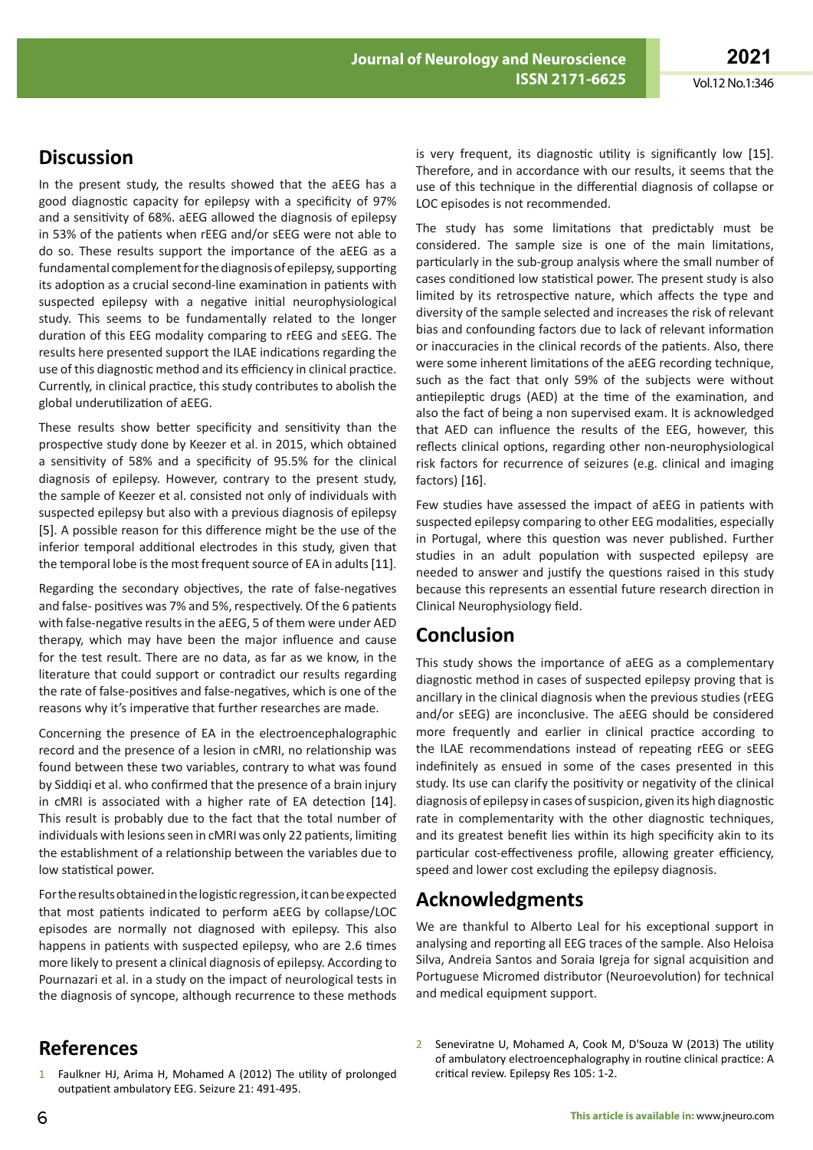## **Discussion**

In the present study, the results showed that the aEEG has a good diagnostic capacity for epilepsy with a specificity of 97% and a sensitivity of 68%. aEEG allowed the diagnosis of epilepsy in 53% of the patients when rEEG and/or sEEG were not able to do so. These results support the importance of the aEEG as a fundamental complement for the diagnosis of epilepsy, supporting its adoption as a crucial second-line examination in patients with suspected epilepsy with a negative initial neurophysiological study. This seems to be fundamentally related to the longer duration of this EEG modality comparing to rEEG and sEEG. The results here presented support the ILAE indications regarding the use of this diagnostic method and its efficiency in clinical practice. Currently, in clinical practice, this study contributes to abolish the global underutilization of aEEG.

These results show better specificity and sensitivity than the prospective study done by Keezer et al. in 2015, which obtained a sensitivity of 58% and a specificity of 95.5% for the clinical diagnosis of epilepsy. However, contrary to the present study, the sample of Keezer et al. consisted not only of individuals with suspected epilepsy but also with a previous diagnosis of epilepsy [5]. A possible reason for this difference might be the use of the inferior temporal additional electrodes in this study, given that the temporal lobe is the most frequent source of EA in adults [11].

Regarding the secondary objectives, the rate of false-negatives and false- positives was 7% and 5%, respectively. Of the 6 patients with false-negative results in the aEEG, 5 of them were under AED therapy, which may have been the major influence and cause for the test result. There are no data, as far as we know, in the literature that could support or contradict our results regarding the rate of false-positives and false-negatives, which is one of the reasons why it's imperative that further researches are made.

Concerning the presence of EA in the electroencephalographic record and the presence of a lesion in cMRI, no relationship was found between these two variables, contrary to what was found by Siddiqi et al. who confirmed that the presence of a brain injury in cMRI is associated with a higher rate of EA detection [14]. This result is probably due to the fact that the total number of individuals with lesions seen in cMRI was only 22 patients, limiting the establishment of a relationship between the variables due to low statistical power.

For the results obtained in the logistic regression, it can be expected that most patients indicated to perform aEEG by collapse/LOC episodes are normally not diagnosed with epilepsy. This also happens in patients with suspected epilepsy, who are 2.6 times more likely to present a clinical diagnosis of epilepsy. According to Pournazari et al. in a study on the impact of neurological tests in the diagnosis of syncope, although recurrence to these methods

#### is very frequent, its diagnostic utility is significantly low [15]. Therefore, and in accordance with our results, it seems that the use of this technique in the differential diagnosis of collapse or LOC episodes is not recommended.

The study has some limitations that predictably must be considered. The sample size is one of the main limitations, particularly in the sub-group analysis where the small number of cases conditioned low statistical power. The present study is also limited by its retrospective nature, which affects the type and diversity of the sample selected and increases the risk of relevant bias and confounding factors due to lack of relevant information or inaccuracies in the clinical records of the patients. Also, there were some inherent limitations of the aEEG recording technique, such as the fact that only 59% of the subjects were without antiepileptic drugs (AED) at the time of the examination, and also the fact of being a non supervised exam. It is acknowledged that AED can influence the results of the EEG, however, this reflects clinical options, regarding other non-neurophysiological risk factors for recurrence of seizures (e.g. clinical and imaging factors) [16].

Few studies have assessed the impact of aEEG in patients with suspected epilepsy comparing to other EEG modalities, especially in Portugal, where this question was never published. Further studies in an adult population with suspected epilepsy are needed to answer and justify the questions raised in this study because this represents an essential future research direction in Clinical Neurophysiology field.

# **Conclusion**

This study shows the importance of aEEG as a complementary diagnostic method in cases of suspected epilepsy proving that is ancillary in the clinical diagnosis when the previous studies (rEEG and/or sEEG) are inconclusive. The aEEG should be considered more frequently and earlier in clinical practice according to the ILAE recommendations instead of repeating rEEG or sEEG indefinitely as ensued in some of the cases presented in this study. Its use can clarify the positivity or negativity of the clinical diagnosis of epilepsy in cases of suspicion, given its high diagnostic rate in complementarity with the other diagnostic techniques, and its greatest benefit lies within its high specificity akin to its particular cost-effectiveness profile, allowing greater efficiency, speed and lower cost excluding the epilepsy diagnosis.

## **Acknowledgments**

We are thankful to Alberto Leal for his exceptional support in analysing and reporting all EEG traces of the sample. Also Heloisa Silva, Andreia Santos and Soraia Igreja for signal acquisition and Portuguese Micromed distributor (Neuroevolution) for technical and medical equipment support.

- **References**
- 1 Faulkner HJ, Arima H, Mohamed A (2012) The utility of prolonged outpatient ambulatory EEG. Seizure 21: 491-495.
- 2 Seneviratne U, Mohamed A, Cook M, D'Souza W (2013) The utility of ambulatory electroencephalography in routine clinical practice: A critical review. Epilepsy Res 105: 1-2.